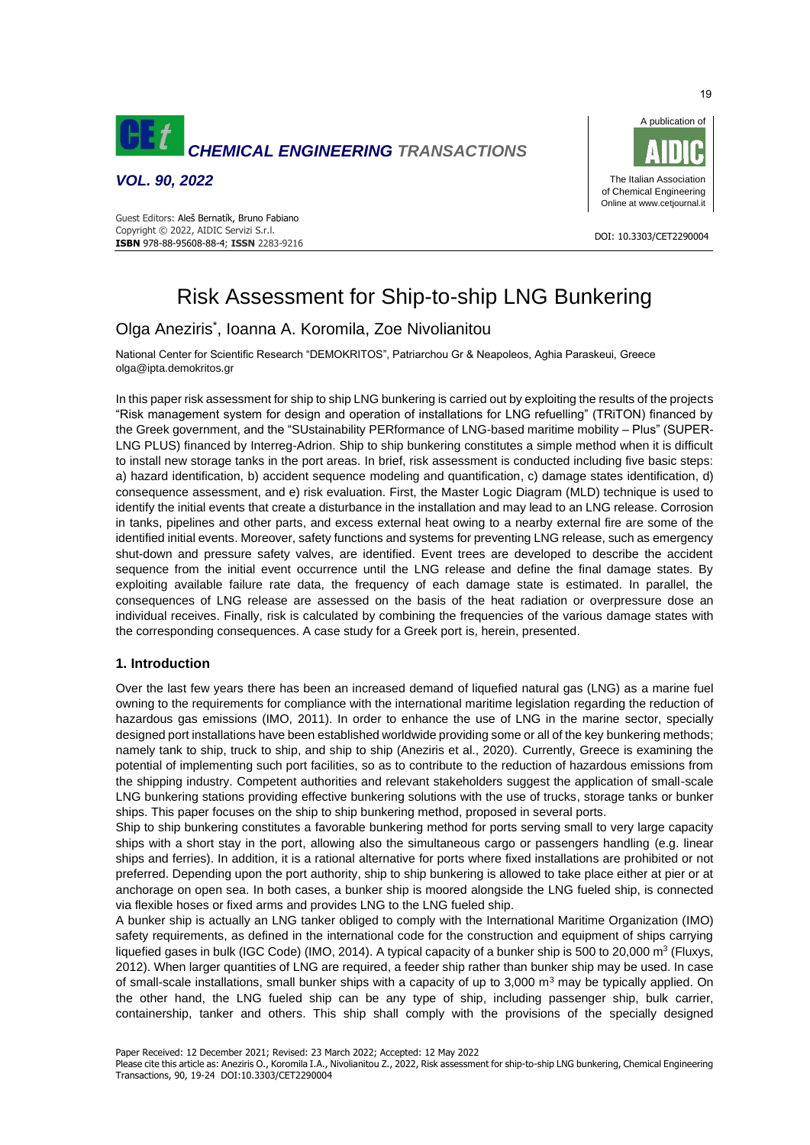

*VOL. 90, 2022*





DOI: 10.3303/CET2290004

# Risk Assessment for Ship-to-ship LNG Bunkering

## Olga Aneziris\* , Ioanna A. Koromila, Zoe Nivolianitou

National Center for Scientific Research "DEMOKRITOS", Patriarchou Gr & Neapoleos, Aghia Paraskeui, Greece olga@ipta.demokritos.gr

In this paper risk assessment for ship to ship LNG bunkering is carried out by exploiting the results of the projects "Risk management system for design and operation of installations for LNG refuelling" (TRiTON) financed by the Greek government, and the "SUstainability PERformance of LNG-based maritime mobility – Plus" (SUPER-LNG PLUS) financed by Interreg-Adrion. Ship to ship bunkering constitutes a simple method when it is difficult to install new storage tanks in the port areas. In brief, risk assessment is conducted including five basic steps: a) hazard identification, b) accident sequence modeling and quantification, c) damage states identification, d) consequence assessment, and e) risk evaluation. First, the Master Logic Diagram (MLD) technique is used to identify the initial events that create a disturbance in the installation and may lead to an LNG release. Corrosion in tanks, pipelines and other parts, and excess external heat owing to a nearby external fire are some of the identified initial events. Moreover, safety functions and systems for preventing LNG release, such as emergency shut-down and pressure safety valves, are identified. Event trees are developed to describe the accident sequence from the initial event occurrence until the LNG release and define the final damage states. By exploiting available failure rate data, the frequency of each damage state is estimated. In parallel, the consequences of LNG release are assessed on the basis of the heat radiation or overpressure dose an individual receives. Finally, risk is calculated by combining the frequencies of the various damage states with the corresponding consequences. A case study for a Greek port is, herein, presented.

## **1. Introduction**

Over the last few years there has been an increased demand of liquefied natural gas (LNG) as a marine fuel owning to the requirements for compliance with the international maritime legislation regarding the reduction of hazardous gas emissions (IMO, 2011). In order to enhance the use of LNG in the marine sector, specially designed port installations have been established worldwide providing some or all of the key bunkering methods; namely tank to ship, truck to ship, and ship to ship (Aneziris et al., 2020). Currently, Greece is examining the potential of implementing such port facilities, so as to contribute to the reduction of hazardous emissions from the shipping industry. Competent authorities and relevant stakeholders suggest the application of small-scale LNG bunkering stations providing effective bunkering solutions with the use of trucks, storage tanks or bunker ships. This paper focuses on the ship to ship bunkering method, proposed in several ports.

Ship to ship bunkering constitutes a favorable bunkering method for ports serving small to very large capacity ships with a short stay in the port, allowing also the simultaneous cargo or passengers handling (e.g. linear ships and ferries). In addition, it is a rational alternative for ports where fixed installations are prohibited or not preferred. Depending upon the port authority, ship to ship bunkering is allowed to take place either at pier or at anchorage on open sea. In both cases, a bunker ship is moored alongside the LNG fueled ship, is connected via flexible hoses or fixed arms and provides LNG to the LNG fueled ship.

A bunker ship is actually an LNG tanker obliged to comply with the International Maritime Organization (IMO) safety requirements, as defined in the international code for the construction and equipment of ships carrying liquefied gases in bulk (IGC Code) (IMO, 2014). A typical capacity of a bunker ship is 500 to 20,000 m<sup>3</sup> (Fluxys, 2012). When larger quantities of LNG are required, a feeder ship rather than bunker ship may be used. In case of small-scale installations, small bunker ships with a capacity of up to  $3,000$  m<sup>3</sup> may be typically applied. On the other hand, the LNG fueled ship can be any type of ship, including passenger ship, bulk carrier, containership, tanker and others. This ship shall comply with the provisions of the specially designed

Paper Received: 12 December 2021; Revised: 23 March 2022; Accepted: 12 May 2022

Please cite this article as: Aneziris O., Koromila I.A., Nivolianitou Z., 2022, Risk assessment for ship-to-ship LNG bunkering, Chemical Engineering Transactions, 90, 19-24 DOI:10.3303/CET2290004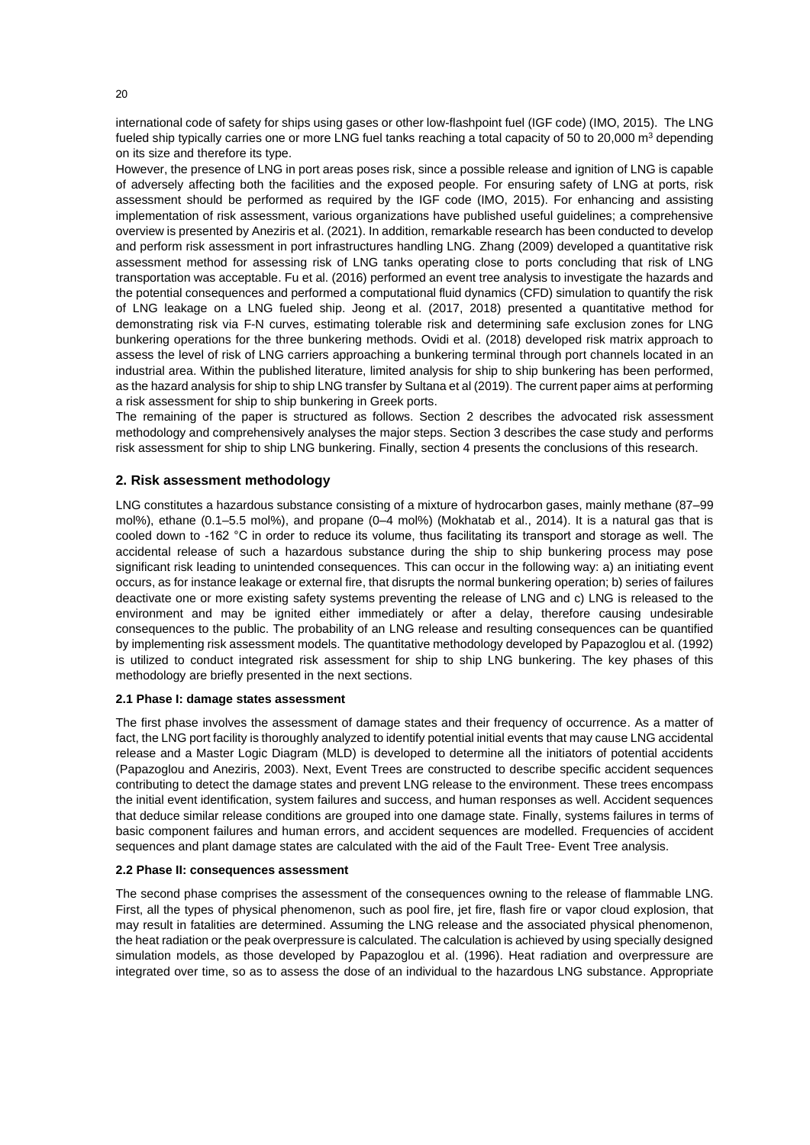international code of safety for ships using gases or other low-flashpoint fuel (IGF code) (IMO, 2015). The LNG fueled ship typically carries one or more LNG fuel tanks reaching a total capacity of 50 to 20,000  $\text{m}^3$  depending on its size and therefore its type.

However, the presence of LNG in port areas poses risk, since a possible release and ignition of LNG is capable of adversely affecting both the facilities and the exposed people. For ensuring safety of LNG at ports, risk assessment should be performed as required by the IGF code (IMO, 2015). For enhancing and assisting implementation of risk assessment, various organizations have published useful guidelines; a comprehensive overview is presented by Aneziris et al. (2021). In addition, remarkable research has been conducted to develop and perform risk assessment in port infrastructures handling LNG. Zhang (2009) developed a quantitative risk assessment method for assessing risk of LNG tanks operating close to ports concluding that risk of LNG transportation was acceptable. Fu et al. (2016) performed an event tree analysis to investigate the hazards and the potential consequences and performed a computational fluid dynamics (CFD) simulation to quantify the risk of LNG leakage on a LNG fueled ship. Jeong et al. (2017, 2018) presented a quantitative method for demonstrating risk via F-N curves, estimating tolerable risk and determining safe exclusion zones for LNG bunkering operations for the three bunkering methods. Ovidi et al. (2018) developed risk matrix approach to assess the level of risk of LNG carriers approaching a bunkering terminal through port channels located in an industrial area. Within the published literature, limited analysis for ship to ship bunkering has been performed, as the hazard analysis for ship to ship LNG transfer by Sultana et al (2019). The current paper aims at performing a risk assessment for ship to ship bunkering in Greek ports.

The remaining of the paper is structured as follows. Section 2 describes the advocated risk assessment methodology and comprehensively analyses the major steps. Section 3 describes the case study and performs risk assessment for ship to ship LNG bunkering. Finally, section 4 presents the conclusions of this research.

## **2. Risk assessment methodology**

LNG constitutes a hazardous substance consisting of a mixture of hydrocarbon gases, mainly methane (87–99 mol%), ethane (0.1–5.5 mol%), and propane (0–4 mol%) (Mokhatab et al., 2014). It is a natural gas that is cooled down to -162 °C in order to reduce its volume, thus facilitating its transport and storage as well. The accidental release of such a hazardous substance during the ship to ship bunkering process may pose significant risk leading to unintended consequences. This can occur in the following way: a) an initiating event occurs, as for instance leakage or external fire, that disrupts the normal bunkering operation; b) series of failures deactivate one or more existing safety systems preventing the release of LNG and c) LNG is released to the environment and may be ignited either immediately or after a delay, therefore causing undesirable consequences to the public. The probability of an LNG release and resulting consequences can be quantified by implementing risk assessment models. Τhe quantitative methodology developed by Papazoglou et al. (1992) is utilized to conduct integrated risk assessment for ship to ship LNG bunkering. The key phases of this methodology are briefly presented in the next sections.

#### **2.1 Phase I: damage states assessment**

The first phase involves the assessment of damage states and their frequency of occurrence. As a matter of fact, the LNG port facility is thoroughly analyzed to identify potential initial events that may cause LNG accidental release and a Master Logic Diagram (MLD) is developed to determine all the initiators of potential accidents (Papazoglou and Aneziris, 2003). Next, Event Trees are constructed to describe specific accident sequences contributing to detect the damage states and prevent LNG release to the environment. These trees encompass the initial event identification, system failures and success, and human responses as well. Accident sequences that deduce similar release conditions are grouped into one damage state. Finally, systems failures in terms of basic component failures and human errors, and accident sequences are modelled. Frequencies of accident sequences and plant damage states are calculated with the aid of the Fault Tree- Event Tree analysis.

#### **2.2 Phase II: consequences assessment**

The second phase comprises the assessment of the consequences owning to the release of flammable LNG. First, all the types of physical phenomenon, such as pool fire, jet fire, flash fire or vapor cloud explosion, that may result in fatalities are determined. Assuming the LNG release and the associated physical phenomenon, the heat radiation or the peak overpressure is calculated. The calculation is achieved by using specially designed simulation models, as those developed by Papazoglou et al. (1996). Heat radiation and overpressure are integrated over time, so as to assess the dose of an individual to the hazardous LNG substance. Appropriate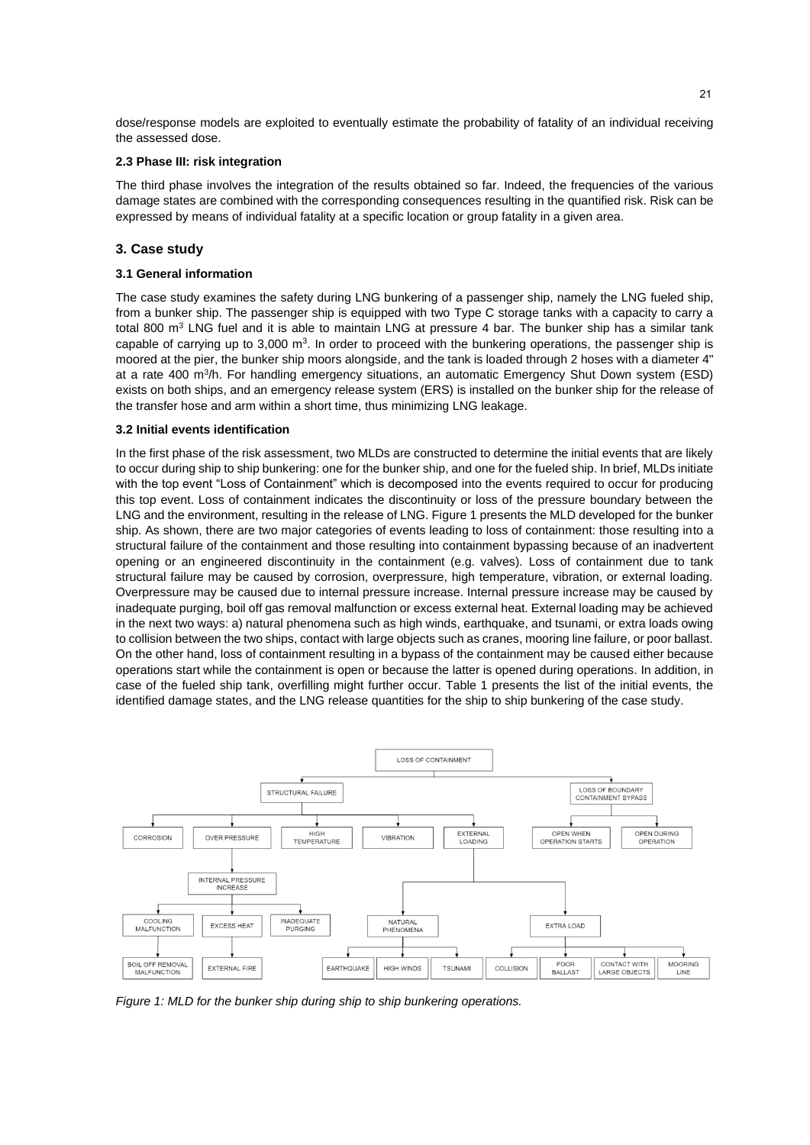dose/response models are exploited to eventually estimate the probability of fatality of an individual receiving the assessed dose.

#### **2.3 Phase III: risk integration**

The third phase involves the integration of the results obtained so far. Indeed, the frequencies of the various damage states are combined with the corresponding consequences resulting in the quantified risk. Risk can be expressed by means of individual fatality at a specific location or group fatality in a given area.

## **3. Case study**

#### **3.1 General information**

The case study examines the safety during LNG bunkering of a passenger ship, namely the LNG fueled ship, from a bunker ship. The passenger ship is equipped with two Type C storage tanks with a capacity to carry a total 800  $\text{m}^3$  LNG fuel and it is able to maintain LNG at pressure 4 bar. The bunker ship has a similar tank capable of carrying up to 3,000  $m<sup>3</sup>$ . In order to proceed with the bunkering operations, the passenger ship is moored at the pier, the bunker ship moors alongside, and the tank is loaded through 2 hoses with a diameter 4" at a rate 400 m<sup>3</sup>/h. For handling emergency situations, an automatic Emergency Shut Down system (ESD) exists on both ships, and an emergency release system (ERS) is installed on the bunker ship for the release of the transfer hose and arm within a short time, thus minimizing LNG leakage.

#### **3.2 Initial events identification**

In the first phase of the risk assessment, two MLDs are constructed to determine the initial events that are likely to occur during ship to ship bunkering: one for the bunker ship, and one for the fueled ship. In brief, MLDs initiate with the top event "Loss of Containment" which is decomposed into the events required to occur for producing this top event. Loss of containment indicates the discontinuity or loss of the pressure boundary between the LNG and the environment, resulting in the release of LNG. Figure 1 presents the MLD developed for the bunker ship. As shown, there are two major categories of events leading to loss of containment: those resulting into a structural failure of the containment and those resulting into containment bypassing because of an inadvertent opening or an engineered discontinuity in the containment (e.g. valves). Loss of containment due to tank structural failure may be caused by corrosion, overpressure, high temperature, vibration, or external loading. Overpressure may be caused due to internal pressure increase. Internal pressure increase may be caused by inadequate purging, boil off gas removal malfunction or excess external heat. External loading may be achieved in the next two ways: a) natural phenomena such as high winds, earthquake, and tsunami, or extra loads owing to collision between the two ships, contact with large objects such as cranes, mooring line failure, or poor ballast. On the other hand, loss of containment resulting in a bypass of the containment may be caused either because operations start while the containment is open or because the latter is opened during operations. In addition, in case of the fueled ship tank, overfilling might further occur. Table 1 presents the list of the initial events, the identified damage states, and the LNG release quantities for the ship to ship bunkering of the case study.



*Figure 1: MLD for the bunker ship during ship to ship bunkering operations.*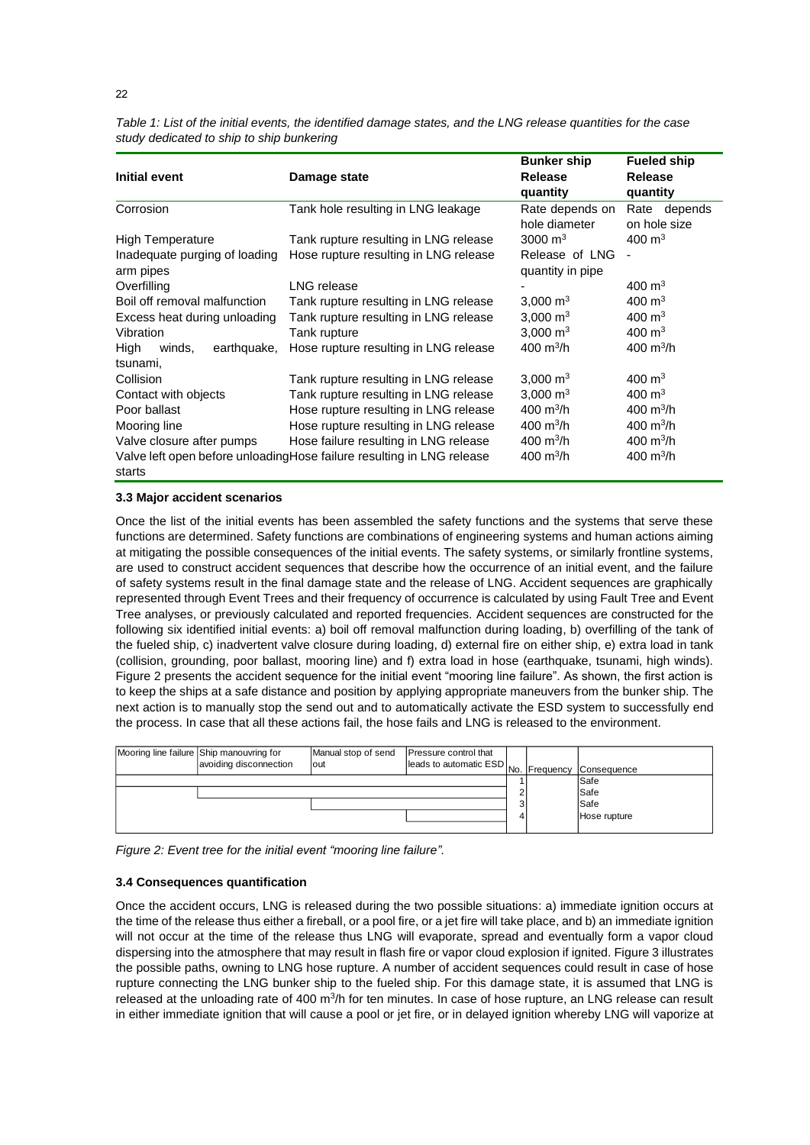| Table 1: List of the initial events, the identified damage states, and the LNG release quantities for the case |  |
|----------------------------------------------------------------------------------------------------------------|--|
| study dedicated to ship to ship bunkering                                                                      |  |

|                               |                                                                        | <b>Bunker ship</b>        | <b>Fueled ship</b>    |  |
|-------------------------------|------------------------------------------------------------------------|---------------------------|-----------------------|--|
| <b>Initial event</b>          | Damage state                                                           | <b>Release</b>            | <b>Release</b>        |  |
|                               |                                                                        | quantity                  | quantity              |  |
| Corrosion                     | Tank hole resulting in LNG leakage                                     | Rate depends on           | Rate depends          |  |
|                               |                                                                        | hole diameter             | on hole size          |  |
| <b>High Temperature</b>       | Tank rupture resulting in LNG release                                  | 3000 $m3$                 | $400 \text{ m}^3$     |  |
| Inadequate purging of loading | Hose rupture resulting in LNG release                                  | Release of LNG            |                       |  |
| arm pipes                     |                                                                        | quantity in pipe          |                       |  |
| Overfilling                   | LNG release                                                            |                           | $400 \text{ m}^3$     |  |
| Boil off removal malfunction  | Tank rupture resulting in LNG release                                  | 3,000 $m3$                | $400 \text{ m}^3$     |  |
| Excess heat during unloading  | Tank rupture resulting in LNG release                                  | 3,000 $\,$ m <sup>3</sup> | $400 \text{ m}^3$     |  |
| Vibration                     | Tank rupture                                                           | 3,000 $m3$                | 400 $m3$              |  |
| earthquake,<br>High<br>winds, | Hose rupture resulting in LNG release                                  | 400 m <sup>3</sup> /h     | 400 m <sup>3</sup> /h |  |
| tsunami,                      |                                                                        |                           |                       |  |
| Collision                     | Tank rupture resulting in LNG release                                  | 3,000 $\rm m^3$           | $400 \text{ m}^3$     |  |
| Contact with objects          | Tank rupture resulting in LNG release                                  | 3.000 $\mathrm{m}^3$      | $400 \; \text{m}^3$   |  |
| Poor ballast                  | Hose rupture resulting in LNG release                                  | $400 \text{ m}^3/h$       | 400 m <sup>3</sup> /h |  |
| Mooring line                  | Hose rupture resulting in LNG release                                  | 400 m <sup>3</sup> /h     | 400 m <sup>3</sup> /h |  |
| Valve closure after pumps     | Hose failure resulting in LNG release                                  | 400 m <sup>3</sup> /h     | 400 m <sup>3</sup> /h |  |
|                               | Valve left open before unloading Hose failure resulting in LNG release | 400 m <sup>3</sup> /h     | 400 m <sup>3</sup> /h |  |
| starts                        |                                                                        |                           |                       |  |

### **3.3 Major accident scenarios**

Once the list of the initial events has been assembled the safety functions and the systems that serve these functions are determined. Safety functions are combinations of engineering systems and human actions aiming at mitigating the possible consequences of the initial events. The safety systems, or similarly frontline systems, are used to construct accident sequences that describe how the occurrence of an initial event, and the failure of safety systems result in the final damage state and the release of LNG. Accident sequences are graphically represented through Event Trees and their frequency of occurrence is calculated by using Fault Tree and Event Tree analyses, or previously calculated and reported frequencies. Accident sequences are constructed for the following six identified initial events: a) boil off removal malfunction during loading, b) overfilling of the tank of the fueled ship, c) inadvertent valve closure during loading, d) external fire on either ship, e) extra load in tank (collision, grounding, poor ballast, mooring line) and f) extra load in hose (earthquake, tsunami, high winds). Figure 2 presents the accident sequence for the initial event "mooring line failure". As shown, the first action is to keep the ships at a safe distance and position by applying appropriate maneuvers from the bunker ship. The next action is to manually stop the send out and to automatically activate the ESD system to successfully end the process. In case that all these actions fail, the hose fails and LNG is released to the environment.

| Mooring line failure Ship manouvring for<br>avoiding disconnection | Manual stop of send<br>lout | Pressure control that<br>leads to automatic ESD No. Frequency |  | Consequence  |
|--------------------------------------------------------------------|-----------------------------|---------------------------------------------------------------|--|--------------|
|                                                                    |                             |                                                               |  | Safe<br>Safe |
|                                                                    |                             |                                                               |  | Safe         |
|                                                                    |                             |                                                               |  | Hose rupture |

*Figure 2: Event tree for the initial event "mooring line failure".*

#### **3.4 Consequences quantification**

Once the accident occurs, LNG is released during the two possible situations: a) immediate ignition occurs at the time of the release thus either a fireball, or a pool fire, or a jet fire will take place, and b) an immediate ignition will not occur at the time of the release thus LNG will evaporate, spread and eventually form a vapor cloud dispersing into the atmosphere that may result in flash fire or vapor cloud explosion if ignited. Figure 3 illustrates the possible paths, owning to LNG hose rupture. A number of accident sequences could result in case of hose rupture connecting the LNG bunker ship to the fueled ship. For this damage state, it is assumed that LNG is released at the unloading rate of 400 m<sup>3</sup>/h for ten minutes. In case of hose rupture, an LNG release can result in either immediate ignition that will cause a pool or jet fire, or in delayed ignition whereby LNG will vaporize at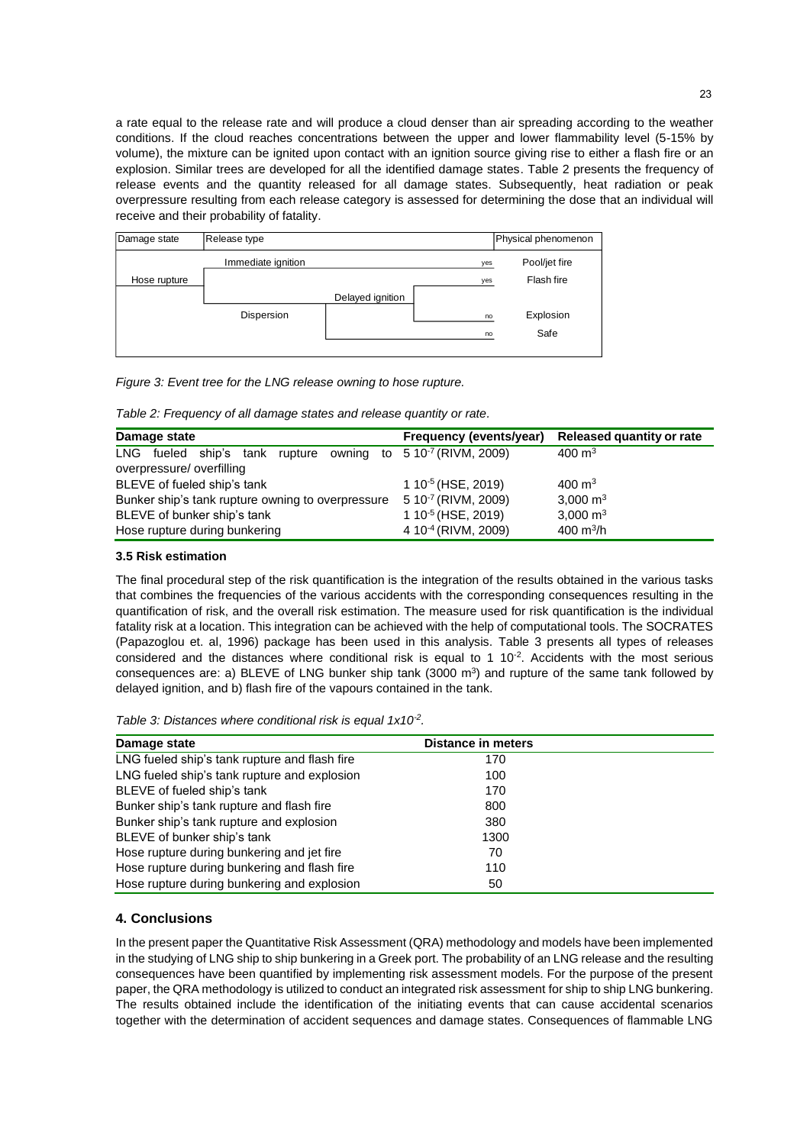a rate equal to the release rate and will produce a cloud denser than air spreading according to the weather conditions. If the cloud reaches concentrations between the upper and lower flammability level (5-15% by volume), the mixture can be ignited upon contact with an ignition source giving rise to either a flash fire or an explosion. Similar trees are developed for all the identified damage states. Table 2 presents the frequency of release events and the quantity released for all damage states. Subsequently, heat radiation or peak overpressure resulting from each release category is assessed for determining the dose that an individual will receive and their probability of fatality.



*Figure 3: Event tree for the LNG release owning to hose rupture.*

*Table 2: Frequency of all damage states and release quantity or rate.*

| Damage state                                                     | Frequency (events/year)         | <b>Released quantity or rate</b> |
|------------------------------------------------------------------|---------------------------------|----------------------------------|
| rupture owning to $510-7$ (RIVM, 2009)<br>LNG fueled ship's tank |                                 | 400 $m3$                         |
| overpressure/overfilling                                         |                                 |                                  |
| BLEVE of fueled ship's tank                                      | 1 10 <sup>-5</sup> (HSE, 2019)  | $400 \text{ m}^3$                |
| Bunker ship's tank rupture owning to overpressure                | 5 10 <sup>-7</sup> (RIVM, 2009) | 3,000 $\,$ m <sup>3</sup>        |
| BLEVE of bunker ship's tank                                      | 1 10 <sup>-5</sup> (HSE, 2019)  | 3,000 $\,$ m <sup>3</sup>        |
| Hose rupture during bunkering                                    | 4 10 <sup>-4</sup> (RIVM, 2009) | 400 $m^3/h$                      |

#### **3.5 Risk estimation**

The final procedural step of the risk quantification is the integration of the results obtained in the various tasks that combines the frequencies of the various accidents with the corresponding consequences resulting in the quantification of risk, and the overall risk estimation. The measure used for risk quantification is the individual fatality risk at a location. This integration can be achieved with the help of computational tools. The SOCRATES (Papazoglou et. al, 1996) package has been used in this analysis. Table 3 presents all types of releases considered and the distances where conditional risk is equal to 1  $10^{-2}$ . Accidents with the most serious consequences are: a) BLEVE of LNG bunker ship tank  $(3000 \text{ m}^3)$  and rupture of the same tank followed by delayed ignition, and b) flash fire of the vapours contained in the tank.

*Table 3: Distances where conditional risk is equal 1x10-2 .*

| Damage state                                  | <b>Distance in meters</b> |  |
|-----------------------------------------------|---------------------------|--|
| LNG fueled ship's tank rupture and flash fire | 170                       |  |
| LNG fueled ship's tank rupture and explosion  | 100                       |  |
| BLEVE of fueled ship's tank                   | 170                       |  |
| Bunker ship's tank rupture and flash fire     | 800                       |  |
| Bunker ship's tank rupture and explosion      | 380                       |  |
| BLEVE of bunker ship's tank                   | 1300                      |  |
| Hose rupture during bunkering and jet fire    | 70                        |  |
| Hose rupture during bunkering and flash fire  | 110                       |  |
| Hose rupture during bunkering and explosion   | 50                        |  |

## **4. Conclusions**

In the present paper the Quantitative Risk Assessment (QRA) methodology and models have been implemented in the studying of LNG ship to ship bunkering in a Greek port. The probability of an LNG release and the resulting consequences have been quantified by implementing risk assessment models. For the purpose of the present paper, the QRA methodology is utilized to conduct an integrated risk assessment for ship to ship LNG bunkering. The results obtained include the identification of the initiating events that can cause accidental scenarios together with the determination of accident sequences and damage states. Consequences of flammable LNG